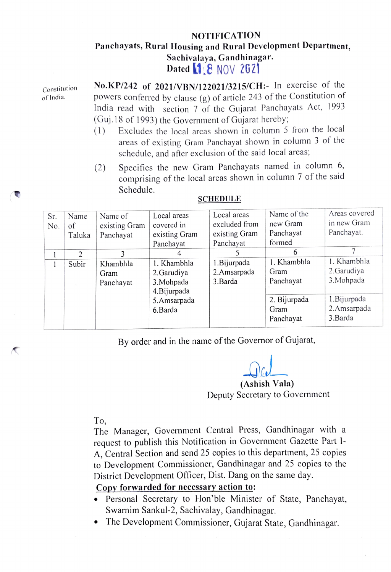## **NOTIFICATION** Panchayats, Rural Housing and Rural Development Department, Sachivalaya, Gandhinagar.<br>Dated 1.8 NOV 2621

Constitution of India.

No.KP/242 of 2021/VBN/122021/3215/CH:- In exercise of the powers conferred by clause (g) of article 243 of the Constitution of India read with section 7 of the Gujarat Panchayats Act, 1993 (Guj.18 of 1993) the Government of Gujarat hereby

- (1) Excludes the local arcas shown in column 5 from the local areas of existing Gram Panchayat shown in column 3 of the schedule, and after exclusion of the said local areas;
- Specifies the new Gram Panchayats named in column 6, comprising of the local areas shown in column 7 of the said Schedule. (2)

| Sr.<br>No. | Name<br>of<br>Taluka | Name of<br>existing Gram<br>Panchayat | Local areas<br>covered in<br>existing Gram<br>Panchayat | Local areas<br>excluded from<br>existing Gram<br>Panchayat | Name of the<br>new Gram<br>Panchayat<br>formed | Areas covered<br>in new Gram<br>Panchayat. |
|------------|----------------------|---------------------------------------|---------------------------------------------------------|------------------------------------------------------------|------------------------------------------------|--------------------------------------------|
|            | $\mathcal{D}$        |                                       |                                                         |                                                            | 6                                              |                                            |
|            | Subir                | Khambhla<br>Gram<br>Panchayat         | 1. Khambhla<br>2.Garudiya<br>3. Mohpada<br>4. Bijurpada | 1. Bijurpada<br>2.Amsarpada<br>3.Barda                     | 1. Khambhla<br>Gram<br>Panchayat               | 1. Khambhla<br>2.Garudiya<br>3. Mohpada    |
|            |                      |                                       | 5.Amsarpada<br>6.Barda                                  |                                                            | 2. Bijurpada<br>Gram<br>Panchayat              | 1. Bijurpada<br>2.Amsarpada<br>3.Barda     |

## SCHEDULE

By order and in the name of the Governor of Gujarat,

(Ashish Vala) Deputy Secretary to Government

To,

The Manager, Government Central Press, Gandhinagar with a request to publish this Notification in Government Gazette Part I-A, Central Section and send 25 copies to this department, 25 copies to Development Commissioner, Gandhinagar and 25 copies to the District Development Officer, Dist. Dang on the same day.

## Copy forwarded for necessary action to:

- Personal Secretary to Hon'ble Minister of State, Panchayat, Swarnim Sankul-2, Sachivalay, Gandhinagar.
- The Development Commissioner, Gujarat State, Gandhinagar.